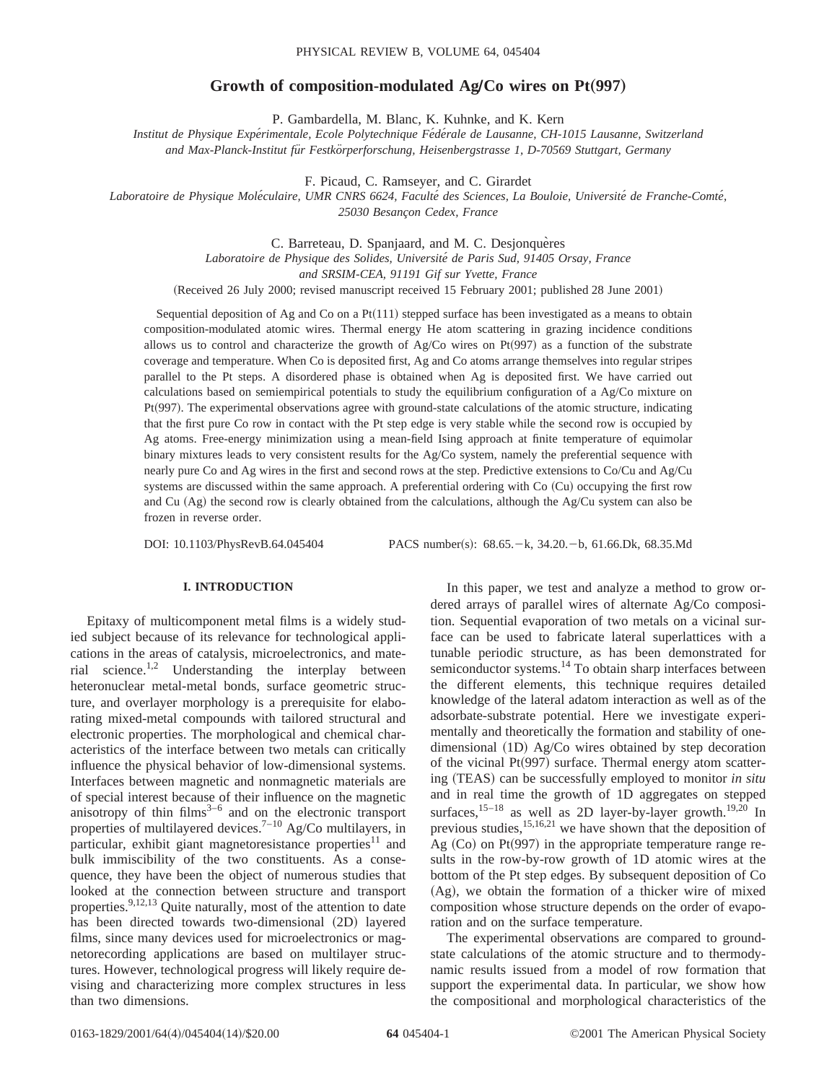# **Growth of composition-modulated Ag/Co wires on Pt(997)**

P. Gambardella, M. Blanc, K. Kuhnke, and K. Kern

*Institut de Physique Expe´rimentale, Ecole Polytechnique Fe´de´rale de Lausanne, CH-1015 Lausanne, Switzerland and Max-Planck-Institut fu¨r Festko¨rperforschung, Heisenbergstrasse 1, D-70569 Stuttgart, Germany*

F. Picaud, C. Ramseyer, and C. Girardet

*Laboratoire de Physique Mole´culaire, UMR CNRS 6624, Faculte´ des Sciences, La Bouloie, Universite´ de Franche-Comte´, 25030 Besanc¸on Cedex, France*

C. Barreteau, D. Spanjaard, and M. C. Desjonqueres

*Laboratoire de Physique des Solides, Universite´ de Paris Sud, 91405 Orsay, France*

*and SRSIM-CEA, 91191 Gif sur Yvette, France*

(Received 26 July 2000; revised manuscript received 15 February 2001; published 28 June 2001)

Sequential deposition of Ag and Co on a  $Pt(111)$  stepped surface has been investigated as a means to obtain composition-modulated atomic wires. Thermal energy He atom scattering in grazing incidence conditions allows us to control and characterize the growth of  $Ag/Co$  wires on Pt $(997)$  as a function of the substrate coverage and temperature. When Co is deposited first, Ag and Co atoms arrange themselves into regular stripes parallel to the Pt steps. A disordered phase is obtained when Ag is deposited first. We have carried out calculations based on semiempirical potentials to study the equilibrium configuration of a Ag/Co mixture on Pt<sup> $(997)$ </sup>. The experimental observations agree with ground-state calculations of the atomic structure, indicating that the first pure Co row in contact with the Pt step edge is very stable while the second row is occupied by Ag atoms. Free-energy minimization using a mean-field Ising approach at finite temperature of equimolar binary mixtures leads to very consistent results for the Ag/Co system, namely the preferential sequence with nearly pure Co and Ag wires in the first and second rows at the step. Predictive extensions to Co/Cu and Ag/Cu systems are discussed within the same approach. A preferential ordering with Co (Cu) occupying the first row and Cu  $(Ag)$  the second row is clearly obtained from the calculations, although the  $Ag/Cu$  system can also be frozen in reverse order.

DOI: 10.1103/PhysRevB.64.045404 PACS number(s): 68.65. - k, 34.20. - b, 61.66.Dk, 68.35.Md

# **I. INTRODUCTION**

Epitaxy of multicomponent metal films is a widely studied subject because of its relevance for technological applications in the areas of catalysis, microelectronics, and material science.1,2 Understanding the interplay between heteronuclear metal-metal bonds, surface geometric structure, and overlayer morphology is a prerequisite for elaborating mixed-metal compounds with tailored structural and electronic properties. The morphological and chemical characteristics of the interface between two metals can critically influence the physical behavior of low-dimensional systems. Interfaces between magnetic and nonmagnetic materials are of special interest because of their influence on the magnetic anisotropy of thin  $\frac{1}{2}$  films<sup>3–6</sup> and on the electronic transport properties of multilayered devices.<sup>7–10</sup> Ag/Co multilayers, in particular, exhibit giant magnetoresistance properties $11$  and bulk immiscibility of the two constituents. As a consequence, they have been the object of numerous studies that looked at the connection between structure and transport properties.<sup>9,12,13</sup> Quite naturally, most of the attention to date has been directed towards two-dimensional (2D) layered films, since many devices used for microelectronics or magnetorecording applications are based on multilayer structures. However, technological progress will likely require devising and characterizing more complex structures in less than two dimensions.

In this paper, we test and analyze a method to grow ordered arrays of parallel wires of alternate Ag/Co composition. Sequential evaporation of two metals on a vicinal surface can be used to fabricate lateral superlattices with a tunable periodic structure, as has been demonstrated for semiconductor systems.<sup>14</sup> To obtain sharp interfaces between the different elements, this technique requires detailed knowledge of the lateral adatom interaction as well as of the adsorbate-substrate potential. Here we investigate experimentally and theoretically the formation and stability of onedimensional  $(1D)$  Ag/Co wires obtained by step decoration of the vicinal Pt $(997)$  surface. Thermal energy atom scattering (TEAS) can be successfully employed to monitor *in situ* and in real time the growth of 1D aggregates on stepped surfaces,  $15-18$  as well as 2D layer-by-layer growth.<sup>19,20</sup> In previous studies,  $15,16,21$  we have shown that the deposition of Ag  $(Co)$  on Pt $(997)$  in the appropriate temperature range results in the row-by-row growth of 1D atomic wires at the bottom of the Pt step edges. By subsequent deposition of Co  $(Ag)$ , we obtain the formation of a thicker wire of mixed composition whose structure depends on the order of evaporation and on the surface temperature.

The experimental observations are compared to groundstate calculations of the atomic structure and to thermodynamic results issued from a model of row formation that support the experimental data. In particular, we show how the compositional and morphological characteristics of the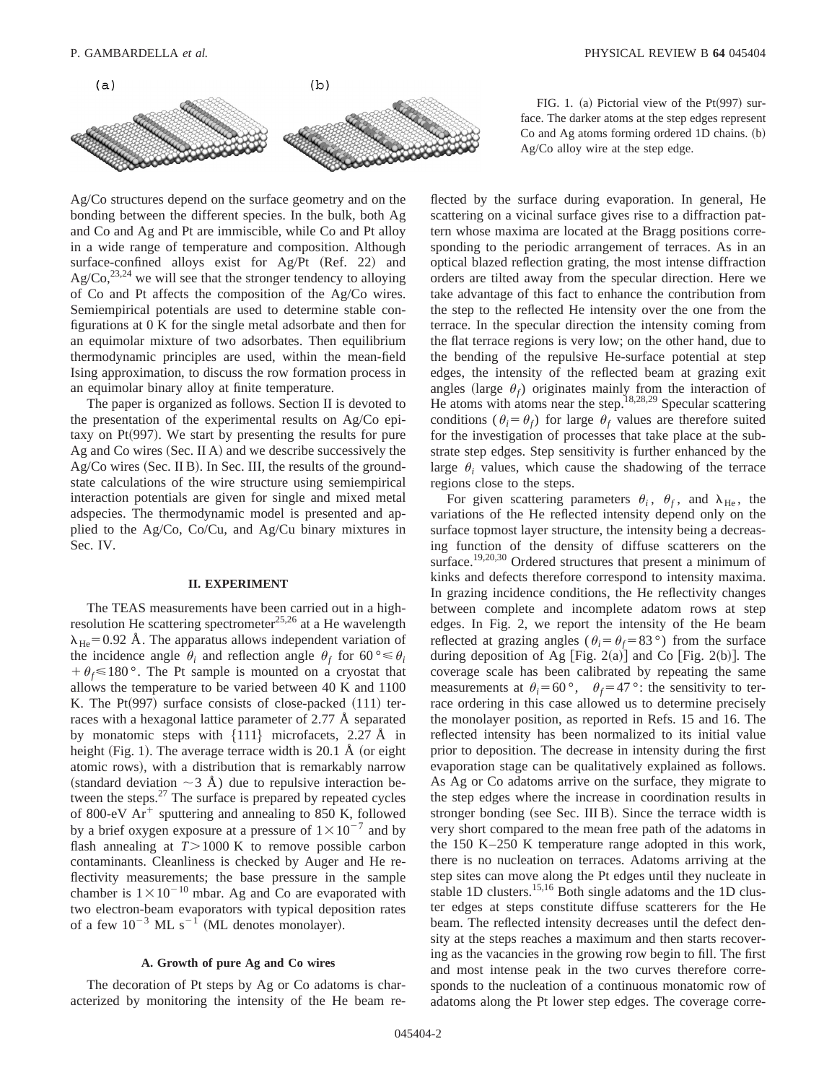

Ag/Co structures depend on the surface geometry and on the bonding between the different species. In the bulk, both Ag and Co and Ag and Pt are immiscible, while Co and Pt alloy in a wide range of temperature and composition. Although surface-confined alloys exist for  $Ag/Pt$   $(Ref. 22)$  and  $Ag/Co$ ,<sup>23,24</sup> we will see that the stronger tendency to alloying of Co and Pt affects the composition of the Ag/Co wires. Semiempirical potentials are used to determine stable configurations at 0 K for the single metal adsorbate and then for an equimolar mixture of two adsorbates. Then equilibrium thermodynamic principles are used, within the mean-field Ising approximation, to discuss the row formation process in an equimolar binary alloy at finite temperature.

The paper is organized as follows. Section II is devoted to the presentation of the experimental results on Ag/Co epitaxy on Pt $(997)$ . We start by presenting the results for pure Ag and Co wires (Sec. II A) and we describe successively the  $Ag/Co$  wires (Sec. II B). In Sec. III, the results of the groundstate calculations of the wire structure using semiempirical interaction potentials are given for single and mixed metal adspecies. The thermodynamic model is presented and applied to the Ag/Co, Co/Cu, and Ag/Cu binary mixtures in Sec. IV.

#### **II. EXPERIMENT**

The TEAS measurements have been carried out in a highresolution He scattering spectrometer<sup>25,26</sup> at a He wavelength  $\lambda_{\text{He}}$ =0.92 Å. The apparatus allows independent variation of the incidence angle  $\theta_i$  and reflection angle  $\theta_f$  for 60 °  $\leq \theta_i$  $f + \theta_f \le 180$ °. The Pt sample is mounted on a cryostat that allows the temperature to be varied between 40 K and 1100 K. The  $Pt(997)$  surface consists of close-packed  $(111)$  terraces with a hexagonal lattice parameter of 2.77 Å separated by monatomic steps with  $\{111\}$  microfacets, 2.27 Å in height (Fig. 1). The average terrace width is 20.1 Å (or eight atomic rows), with a distribution that is remarkably narrow (standard deviation  $\sim$  3 Å) due to repulsive interaction between the steps. $27$  The surface is prepared by repeated cycles of 800-eV  $Ar^+$  sputtering and annealing to 850 K, followed by a brief oxygen exposure at a pressure of  $1\times10^{-7}$  and by flash annealing at  $T > 1000$  K to remove possible carbon contaminants. Cleanliness is checked by Auger and He reflectivity measurements; the base pressure in the sample chamber is  $1 \times 10^{-10}$  mbar. Ag and Co are evaporated with two electron-beam evaporators with typical deposition rates of a few  $10^{-3}$  ML s<sup>-1</sup> (ML denotes monolayer).

## **A. Growth of pure Ag and Co wires**

The decoration of Pt steps by Ag or Co adatoms is characterized by monitoring the intensity of the He beam re-

FIG. 1. (a) Pictorial view of the  $Pt(997)$  surface. The darker atoms at the step edges represent  $Co$  and Ag atoms forming ordered 1D chains.  $(b)$ Ag/Co alloy wire at the step edge.

flected by the surface during evaporation. In general, He scattering on a vicinal surface gives rise to a diffraction pattern whose maxima are located at the Bragg positions corresponding to the periodic arrangement of terraces. As in an optical blazed reflection grating, the most intense diffraction orders are tilted away from the specular direction. Here we take advantage of this fact to enhance the contribution from the step to the reflected He intensity over the one from the terrace. In the specular direction the intensity coming from the flat terrace regions is very low; on the other hand, due to the bending of the repulsive He-surface potential at step edges, the intensity of the reflected beam at grazing exit angles (large  $\theta_f$ ) originates mainly from the interaction of He atoms with atoms near the step.<sup>18,28,29</sup> Specular scattering conditions ( $\theta_i = \theta_f$ ) for large  $\theta_f$  values are therefore suited for the investigation of processes that take place at the substrate step edges. Step sensitivity is further enhanced by the large  $\theta_i$  values, which cause the shadowing of the terrace regions close to the steps.

For given scattering parameters  $\theta_i$ ,  $\theta_f$ , and  $\lambda_{\text{He}}$ , the variations of the He reflected intensity depend only on the surface topmost layer structure, the intensity being a decreasing function of the density of diffuse scatterers on the surface.<sup>19,20,30</sup> Ordered structures that present a minimum of kinks and defects therefore correspond to intensity maxima. In grazing incidence conditions, the He reflectivity changes between complete and incomplete adatom rows at step edges. In Fig. 2, we report the intensity of the He beam reflected at grazing angles ( $\theta_i = \theta_f = 83$ °) from the surface during deposition of Ag [Fig. 2(a)] and Co [Fig. 2(b)]. The coverage scale has been calibrated by repeating the same measurements at  $\theta_i = 60^\circ$ ,  $\theta_f = 47^\circ$ : the sensitivity to terrace ordering in this case allowed us to determine precisely the monolayer position, as reported in Refs. 15 and 16. The reflected intensity has been normalized to its initial value prior to deposition. The decrease in intensity during the first evaporation stage can be qualitatively explained as follows. As Ag or Co adatoms arrive on the surface, they migrate to the step edges where the increase in coordination results in stronger bonding (see Sec. III B). Since the terrace width is very short compared to the mean free path of the adatoms in the 150 K–250 K temperature range adopted in this work, there is no nucleation on terraces. Adatoms arriving at the step sites can move along the Pt edges until they nucleate in stable 1D clusters.<sup>15,16</sup> Both single adatoms and the 1D cluster edges at steps constitute diffuse scatterers for the He beam. The reflected intensity decreases until the defect density at the steps reaches a maximum and then starts recovering as the vacancies in the growing row begin to fill. The first and most intense peak in the two curves therefore corresponds to the nucleation of a continuous monatomic row of adatoms along the Pt lower step edges. The coverage corre-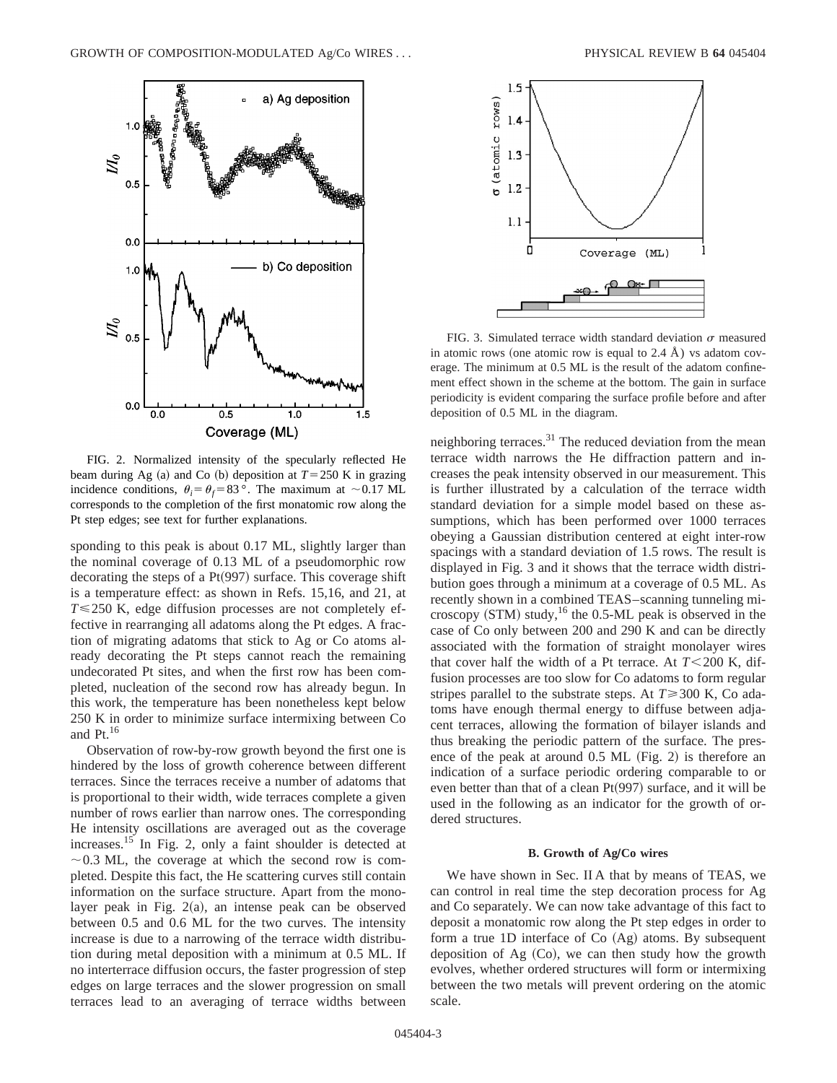

FIG. 2. Normalized intensity of the specularly reflected He beam during Ag  $(a)$  and Co  $(b)$  deposition at  $T = 250$  K in grazing incidence conditions,  $\theta_i = \theta_f = 83$ °. The maximum at ~0.17 ML corresponds to the completion of the first monatomic row along the Pt step edges; see text for further explanations.

sponding to this peak is about 0.17 ML, slightly larger than the nominal coverage of 0.13 ML of a pseudomorphic row decorating the steps of a  $Pt(997)$  surface. This coverage shift is a temperature effect: as shown in Refs. 15,16, and 21, at *T*≤250 K, edge diffusion processes are not completely effective in rearranging all adatoms along the Pt edges. A fraction of migrating adatoms that stick to Ag or Co atoms already decorating the Pt steps cannot reach the remaining undecorated Pt sites, and when the first row has been completed, nucleation of the second row has already begun. In this work, the temperature has been nonetheless kept below 250 K in order to minimize surface intermixing between Co and  $Pt.$ <sup>16</sup>

Observation of row-by-row growth beyond the first one is hindered by the loss of growth coherence between different terraces. Since the terraces receive a number of adatoms that is proportional to their width, wide terraces complete a given number of rows earlier than narrow ones. The corresponding He intensity oscillations are averaged out as the coverage increases.15 In Fig. 2, only a faint shoulder is detected at  $\sim$  0.3 ML, the coverage at which the second row is completed. Despite this fact, the He scattering curves still contain information on the surface structure. Apart from the monolayer peak in Fig.  $2(a)$ , an intense peak can be observed between 0.5 and 0.6 ML for the two curves. The intensity increase is due to a narrowing of the terrace width distribution during metal deposition with a minimum at 0.5 ML. If no interterrace diffusion occurs, the faster progression of step edges on large terraces and the slower progression on small terraces lead to an averaging of terrace widths between



FIG. 3. Simulated terrace width standard deviation  $\sigma$  measured in atomic rows (one atomic row is equal to 2.4 Å) vs adatom coverage. The minimum at 0.5 ML is the result of the adatom confinement effect shown in the scheme at the bottom. The gain in surface periodicity is evident comparing the surface profile before and after deposition of 0.5 ML in the diagram.

neighboring terraces.<sup>31</sup> The reduced deviation from the mean terrace width narrows the He diffraction pattern and increases the peak intensity observed in our measurement. This is further illustrated by a calculation of the terrace width standard deviation for a simple model based on these assumptions, which has been performed over 1000 terraces obeying a Gaussian distribution centered at eight inter-row spacings with a standard deviation of 1.5 rows. The result is displayed in Fig. 3 and it shows that the terrace width distribution goes through a minimum at a coverage of 0.5 ML. As recently shown in a combined TEAS–scanning tunneling microscopy  $(STM)$  study,<sup>16</sup> the 0.5-ML peak is observed in the case of Co only between 200 and 290 K and can be directly associated with the formation of straight monolayer wires that cover half the width of a Pt terrace. At  $T < 200$  K, diffusion processes are too slow for Co adatoms to form regular stripes parallel to the substrate steps. At  $T \geq 300$  K, Co adatoms have enough thermal energy to diffuse between adjacent terraces, allowing the formation of bilayer islands and thus breaking the periodic pattern of the surface. The presence of the peak at around  $0.5$  ML (Fig. 2) is therefore an indication of a surface periodic ordering comparable to or even better than that of a clean  $Pt(997)$  surface, and it will be used in the following as an indicator for the growth of ordered structures.

### **B. Growth of AgÕCo wires**

We have shown in Sec. II A that by means of TEAS, we can control in real time the step decoration process for Ag and Co separately. We can now take advantage of this fact to deposit a monatomic row along the Pt step edges in order to form a true 1D interface of  $Co (Ag)$  atoms. By subsequent deposition of Ag  $(Co)$ , we can then study how the growth evolves, whether ordered structures will form or intermixing between the two metals will prevent ordering on the atomic scale.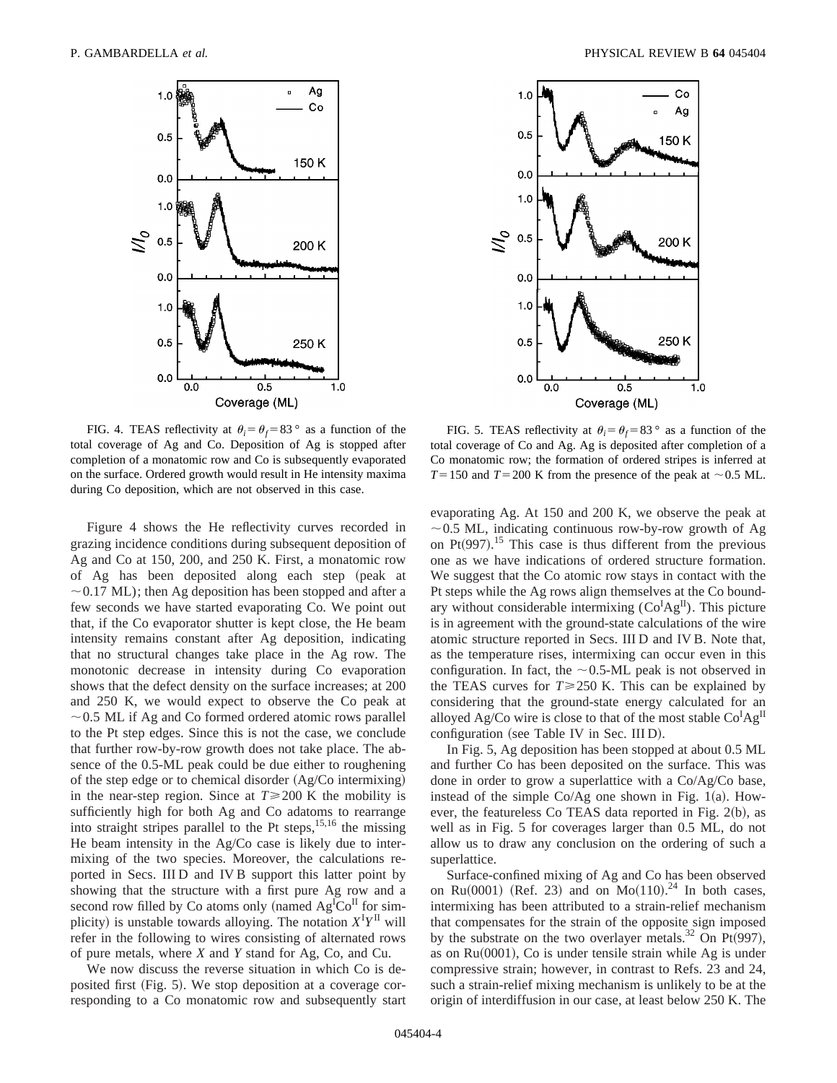

FIG. 4. TEAS reflectivity at  $\theta_i = \theta_f = 83$ ° as a function of the total coverage of Ag and Co. Deposition of Ag is stopped after completion of a monatomic row and Co is subsequently evaporated on the surface. Ordered growth would result in He intensity maxima during Co deposition, which are not observed in this case.

Figure 4 shows the He reflectivity curves recorded in grazing incidence conditions during subsequent deposition of Ag and Co at 150, 200, and 250 K. First, a monatomic row of Ag has been deposited along each step (peak at  $\sim$  0.17 ML); then Ag deposition has been stopped and after a few seconds we have started evaporating Co. We point out that, if the Co evaporator shutter is kept close, the He beam intensity remains constant after Ag deposition, indicating that no structural changes take place in the Ag row. The monotonic decrease in intensity during Co evaporation shows that the defect density on the surface increases; at 200 and 250 K, we would expect to observe the Co peak at  $\sim$  0.5 ML if Ag and Co formed ordered atomic rows parallel to the Pt step edges. Since this is not the case, we conclude that further row-by-row growth does not take place. The absence of the 0.5-ML peak could be due either to roughening of the step edge or to chemical disorder  $(Ag/Co$  intermixing) in the near-step region. Since at  $T \ge 200$  K the mobility is sufficiently high for both Ag and Co adatoms to rearrange into straight stripes parallel to the Pt steps,  $15,16$  the missing He beam intensity in the Ag/Co case is likely due to intermixing of the two species. Moreover, the calculations reported in Secs. III D and IV B support this latter point by showing that the structure with a first pure Ag row and a second row filled by Co atoms only (named  $Ag<sup>I</sup>Co<sup>II</sup>$  for simplicity) is unstable towards alloying. The notation  $X^I Y^{\text{II}}$  will refer in the following to wires consisting of alternated rows of pure metals, where *X* and *Y* stand for Ag, Co, and Cu.

We now discuss the reverse situation in which Co is deposited first (Fig. 5). We stop deposition at a coverage corresponding to a Co monatomic row and subsequently start



FIG. 5. TEAS reflectivity at  $\theta_i = \theta_f = 83^\circ$  as a function of the total coverage of Co and Ag. Ag is deposited after completion of a Co monatomic row; the formation of ordered stripes is inferred at  $T=150$  and  $T=200$  K from the presence of the peak at  $\sim 0.5$  ML.

evaporating Ag. At 150 and 200 K, we observe the peak at  $\sim$  0.5 ML, indicating continuous row-by-row growth of Ag on Pt $(997)$ .<sup>15</sup> This case is thus different from the previous one as we have indications of ordered structure formation. We suggest that the Co atomic row stays in contact with the Pt steps while the Ag rows align themselves at the Co boundary without considerable intermixing  $(Co^{I}Ag^{II})$ . This picture is in agreement with the ground-state calculations of the wire atomic structure reported in Secs. III D and IV B. Note that, as the temperature rises, intermixing can occur even in this configuration. In fact, the  $\sim$  0.5-ML peak is not observed in the TEAS curves for  $T \ge 250$  K. This can be explained by considering that the ground-state energy calculated for an alloyed Ag/Co wire is close to that of the most stable  $Co^{I}Ag^{II}$ configuration (see Table IV in Sec. III D).

In Fig. 5, Ag deposition has been stopped at about 0.5 ML and further Co has been deposited on the surface. This was done in order to grow a superlattice with a Co/Ag/Co base, instead of the simple  $Co/Ag$  one shown in Fig. 1(a). However, the featureless Co TEAS data reported in Fig.  $2(b)$ , as well as in Fig. 5 for coverages larger than 0.5 ML, do not allow us to draw any conclusion on the ordering of such a superlattice.

Surface-confined mixing of Ag and Co has been observed on Ru $(0001)$  (Ref. 23) and on Mo $(110).^{24}$  In both cases, intermixing has been attributed to a strain-relief mechanism that compensates for the strain of the opposite sign imposed by the substrate on the two overlayer metals.<sup>32</sup> On Pt $(997)$ , as on  $Ru(0001)$ , Co is under tensile strain while Ag is under compressive strain; however, in contrast to Refs. 23 and 24, such a strain-relief mixing mechanism is unlikely to be at the origin of interdiffusion in our case, at least below 250 K. The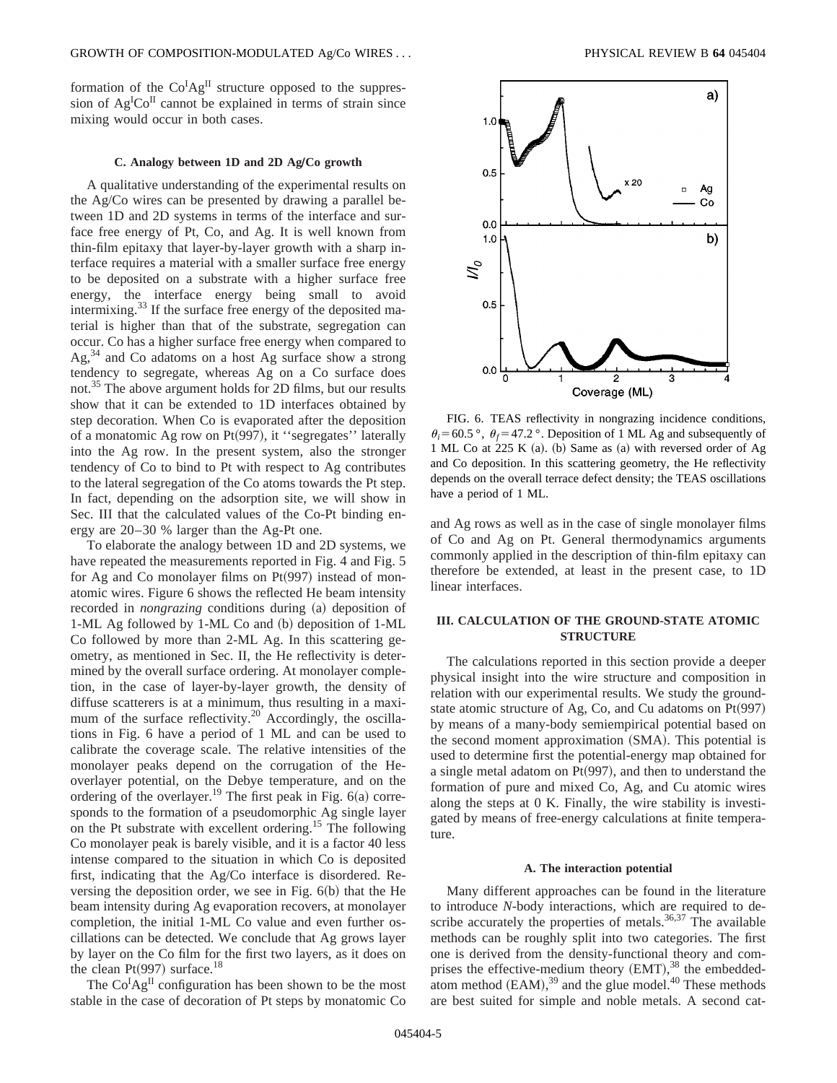formation of the  $Co^{I}Ag^{II}$  structure opposed to the suppression of  $Ag^{I}Co^{II}$  cannot be explained in terms of strain since mixing would occur in both cases.

### **C. Analogy between 1D and 2D AgÕCo growth**

A qualitative understanding of the experimental results on the Ag/Co wires can be presented by drawing a parallel between 1D and 2D systems in terms of the interface and surface free energy of Pt, Co, and Ag. It is well known from thin-film epitaxy that layer-by-layer growth with a sharp interface requires a material with a smaller surface free energy to be deposited on a substrate with a higher surface free energy, the interface energy being small to avoid intermixing.<sup>33</sup> If the surface free energy of the deposited material is higher than that of the substrate, segregation can occur. Co has a higher surface free energy when compared to  $Ag<sub>34</sub>$  and Co adatoms on a host Ag surface show a strong tendency to segregate, whereas Ag on a Co surface does not.35 The above argument holds for 2D films, but our results show that it can be extended to 1D interfaces obtained by step decoration. When Co is evaporated after the deposition of a monatomic Ag row on Pt $(997)$ , it "segregates" laterally into the Ag row. In the present system, also the stronger tendency of Co to bind to Pt with respect to Ag contributes to the lateral segregation of the Co atoms towards the Pt step. In fact, depending on the adsorption site, we will show in Sec. III that the calculated values of the Co-Pt binding energy are 20–30 % larger than the Ag-Pt one.

To elaborate the analogy between 1D and 2D systems, we have repeated the measurements reported in Fig. 4 and Fig. 5 for Ag and Co monolayer films on  $Pt(997)$  instead of monatomic wires. Figure 6 shows the reflected He beam intensity recorded in *nongrazing* conditions during (a) deposition of 1-ML Ag followed by 1-ML Co and (b) deposition of 1-ML Co followed by more than 2-ML Ag. In this scattering geometry, as mentioned in Sec. II, the He reflectivity is determined by the overall surface ordering. At monolayer completion, in the case of layer-by-layer growth, the density of diffuse scatterers is at a minimum, thus resulting in a maximum of the surface reflectivity.<sup>20</sup> Accordingly, the oscillations in Fig. 6 have a period of 1 ML and can be used to calibrate the coverage scale. The relative intensities of the monolayer peaks depend on the corrugation of the Heoverlayer potential, on the Debye temperature, and on the ordering of the overlayer.<sup>19</sup> The first peak in Fig.  $6(a)$  corresponds to the formation of a pseudomorphic Ag single layer on the Pt substrate with excellent ordering.15 The following Co monolayer peak is barely visible, and it is a factor 40 less intense compared to the situation in which Co is deposited first, indicating that the Ag/Co interface is disordered. Reversing the deposition order, we see in Fig.  $6(b)$  that the He beam intensity during Ag evaporation recovers, at monolayer completion, the initial 1-ML Co value and even further oscillations can be detected. We conclude that Ag grows layer by layer on the Co film for the first two layers, as it does on the clean Pt $(997)$  surface.<sup>18</sup>

The  $Co^{I}Ag^{II}$  configuration has been shown to be the most stable in the case of decoration of Pt steps by monatomic Co



FIG. 6. TEAS reflectivity in nongrazing incidence conditions,  $\theta_i = 60.5$  °,  $\theta_f = 47.2$  °. Deposition of 1 ML Ag and subsequently of 1 ML Co at  $225 K$  (a). (b) Same as (a) with reversed order of Ag and Co deposition. In this scattering geometry, the He reflectivity depends on the overall terrace defect density; the TEAS oscillations have a period of 1 ML.

and Ag rows as well as in the case of single monolayer films of Co and Ag on Pt. General thermodynamics arguments commonly applied in the description of thin-film epitaxy can therefore be extended, at least in the present case, to 1D linear interfaces.

# **III. CALCULATION OF THE GROUND-STATE ATOMIC STRUCTURE**

The calculations reported in this section provide a deeper physical insight into the wire structure and composition in relation with our experimental results. We study the groundstate atomic structure of Ag, Co, and Cu adatoms on  $Pt(997)$ by means of a many-body semiempirical potential based on the second moment approximation  $(SMA)$ . This potential is used to determine first the potential-energy map obtained for a single metal adatom on  $Pt(997)$ , and then to understand the formation of pure and mixed Co, Ag, and Cu atomic wires along the steps at 0 K. Finally, the wire stability is investigated by means of free-energy calculations at finite temperature.

#### **A. The interaction potential**

Many different approaches can be found in the literature to introduce *N*-body interactions, which are required to describe accurately the properties of metals. $36,37$  The available methods can be roughly split into two categories. The first one is derived from the density-functional theory and comprises the effective-medium theory  $(EMT)$ ,  $38$  the embeddedatom method  $(EAM)$ ,<sup>39</sup> and the glue model.<sup>40</sup> These methods are best suited for simple and noble metals. A second cat-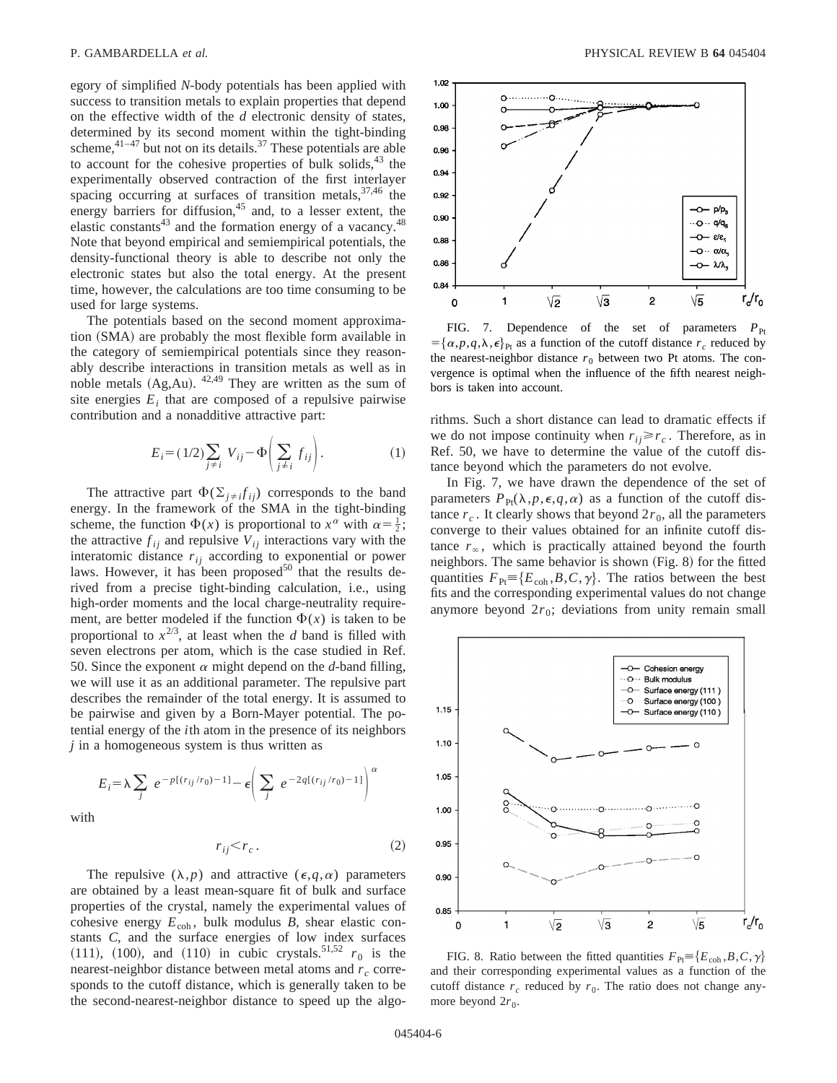egory of simplified *N*-body potentials has been applied with success to transition metals to explain properties that depend on the effective width of the *d* electronic density of states, determined by its second moment within the tight-binding scheme, $4^{1-47}$  but not on its details.<sup>37</sup> These potentials are able to account for the cohesive properties of bulk solids, $43$  the experimentally observed contraction of the first interlayer spacing occurring at surfaces of transition metals,  $37,46$  the energy barriers for diffusion,<sup>45</sup> and, to a lesser extent, the elastic constants $43$  and the formation energy of a vacancy. $48$ Note that beyond empirical and semiempirical potentials, the density-functional theory is able to describe not only the electronic states but also the total energy. At the present time, however, the calculations are too time consuming to be used for large systems.

The potentials based on the second moment approximation (SMA) are probably the most flexible form available in the category of semiempirical potentials since they reasonably describe interactions in transition metals as well as in noble metals  $(Ag,Au)$ .  $42.49$  They are written as the sum of site energies  $E_i$  that are composed of a repulsive pairwise contribution and a nonadditive attractive part:

$$
E_i = (1/2) \sum_{j \neq i} V_{ij} - \Phi \left( \sum_{j \neq i} f_{ij} \right). \tag{1}
$$

The attractive part  $\Phi(\Sigma_{j\neq j} f_{ij})$  corresponds to the band energy. In the framework of the SMA in the tight-binding scheme, the function  $\Phi(x)$  is proportional to  $x^{\alpha}$  with  $\alpha = \frac{1}{2}$ ; the attractive  $f_{ij}$  and repulsive  $V_{ij}$  interactions vary with the interatomic distance  $r_{ij}$  according to exponential or power laws. However, it has been proposed $50$  that the results derived from a precise tight-binding calculation, i.e., using high-order moments and the local charge-neutrality requirement, are better modeled if the function  $\Phi(x)$  is taken to be proportional to  $x^{2/3}$ , at least when the *d* band is filled with seven electrons per atom, which is the case studied in Ref. 50. Since the exponent  $\alpha$  might depend on the *d*-band filling, we will use it as an additional parameter. The repulsive part describes the remainder of the total energy. It is assumed to be pairwise and given by a Born-Mayer potential. The potential energy of the *i*th atom in the presence of its neighbors *j* in a homogeneous system is thus written as

$$
E_i = \lambda \sum_j e^{-p[(r_{ij}/r_0) - 1]} - \epsilon \left( \sum_j e^{-2q[(r_{ij}/r_0) - 1]} \right)^{\alpha}
$$

with

$$
r_{ij} < r_c. \tag{2}
$$

The repulsive  $(\lambda, p)$  and attractive  $(\epsilon, q, \alpha)$  parameters are obtained by a least mean-square fit of bulk and surface properties of the crystal, namely the experimental values of cohesive energy  $E_{coh}$ , bulk modulus *B*, shear elastic constants *C*, and the surface energies of low index surfaces  $(111)$ ,  $(100)$ , and  $(110)$  in cubic crystals.<sup>51,52</sup>  $r_0$  is the nearest-neighbor distance between metal atoms and  $r_c$  corresponds to the cutoff distance, which is generally taken to be the second-nearest-neighbor distance to speed up the algo-



FIG. 7. Dependence of the set of parameters  $P_{\text{Pr}}$  $=\{\alpha, p, q, \lambda, \epsilon\}_{\text{Pt}}\}$  as a function of the cutoff distance  $r_c$  reduced by the nearest-neighbor distance  $r_0$  between two Pt atoms. The convergence is optimal when the influence of the fifth nearest neighbors is taken into account.

rithms. Such a short distance can lead to dramatic effects if we do not impose continuity when  $r_{ij} \ge r_c$ . Therefore, as in Ref. 50, we have to determine the value of the cutoff distance beyond which the parameters do not evolve.

In Fig. 7, we have drawn the dependence of the set of parameters  $P_{\text{Pt}}(\lambda, p, \epsilon, q, \alpha)$  as a function of the cutoff distance  $r_c$ . It clearly shows that beyond  $2r_0$ , all the parameters converge to their values obtained for an infinite cutoff distance  $r_\infty$ , which is practically attained beyond the fourth neighbors. The same behavior is shown  $(Fig. 8)$  for the fitted quantities  $F_{\text{Pt}} = \{E_{\text{coh}}, B, C, \gamma\}$ . The ratios between the best fits and the corresponding experimental values do not change anymore beyond  $2r_0$ ; deviations from unity remain small



FIG. 8. Ratio between the fitted quantities  $F_{\text{Pt}} = \{E_{\text{coh}}, B, C, \gamma\}$ and their corresponding experimental values as a function of the cutoff distance  $r_c$  reduced by  $r_0$ . The ratio does not change anymore beyond  $2r_0$ .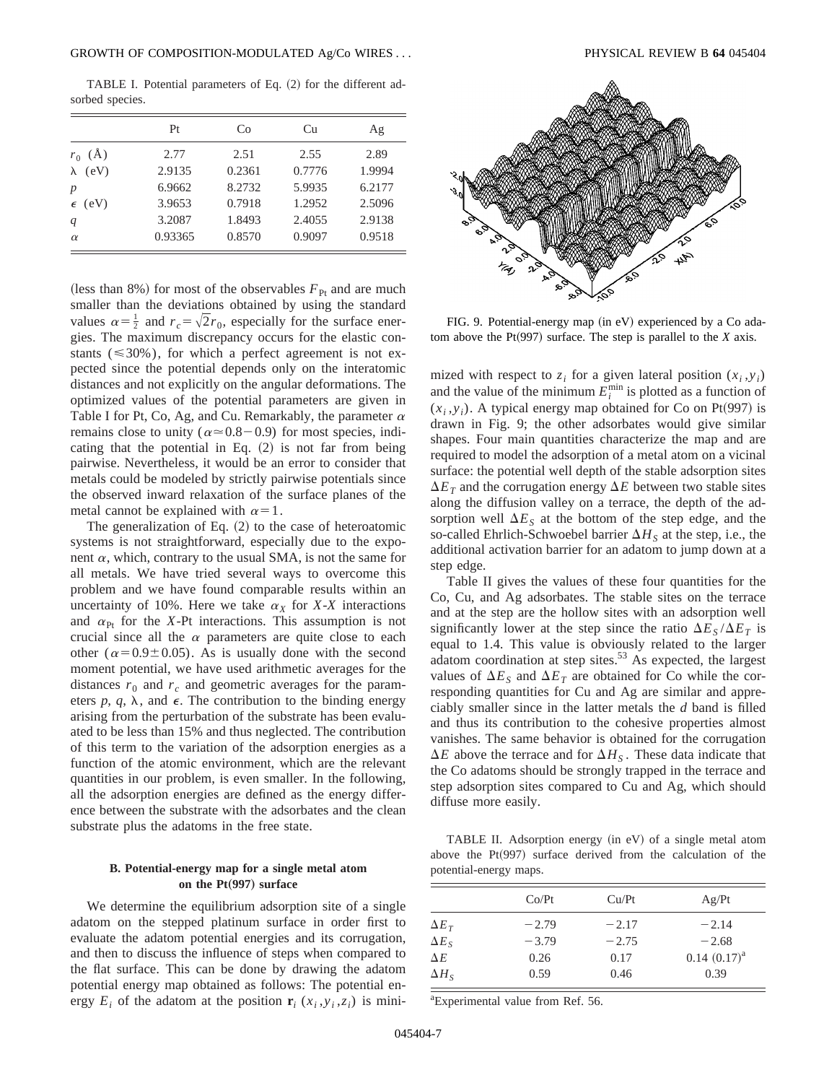TABLE I. Potential parameters of Eq.  $(2)$  for the different adsorbed species.

|                    | Pt      | Co     | Cu     | Ag     |
|--------------------|---------|--------|--------|--------|
| $r_0$ (Å)          | 2.77    | 2.51   | 2.55   | 2.89   |
| $\lambda$ (eV)     | 2.9135  | 0.2361 | 0.7776 | 1.9994 |
| $\boldsymbol{p}$   | 6.9662  | 8.2732 | 5.9935 | 6.2177 |
| (eV)<br>$\epsilon$ | 3.9653  | 0.7918 | 1.2952 | 2.5096 |
| q                  | 3.2087  | 1.8493 | 2.4055 | 2.9138 |
| $\alpha$           | 0.93365 | 0.8570 | 0.9097 | 0.9518 |

(less than 8%) for most of the observables  $F_{\text{Pt}}$  and are much smaller than the deviations obtained by using the standard values  $\alpha = \frac{1}{2}$  and  $r_c = \sqrt{2}r_0$ , especially for the surface energies. The maximum discrepancy occurs for the elastic constants ( $\leq 30\%$ ), for which a perfect agreement is not expected since the potential depends only on the interatomic distances and not explicitly on the angular deformations. The optimized values of the potential parameters are given in Table I for Pt, Co, Ag, and Cu. Remarkably, the parameter  $\alpha$ remains close to unity ( $\alpha \approx 0.8-0.9$ ) for most species, indicating that the potential in Eq.  $(2)$  is not far from being pairwise. Nevertheless, it would be an error to consider that metals could be modeled by strictly pairwise potentials since the observed inward relaxation of the surface planes of the metal cannot be explained with  $\alpha=1$ .

The generalization of Eq.  $(2)$  to the case of heteroatomic systems is not straightforward, especially due to the exponent  $\alpha$ , which, contrary to the usual SMA, is not the same for all metals. We have tried several ways to overcome this problem and we have found comparable results within an uncertainty of 10%. Here we take  $\alpha_X$  for *X-X* interactions and  $\alpha_{\text{Pt}}$  for the *X*-Pt interactions. This assumption is not crucial since all the  $\alpha$  parameters are quite close to each other ( $\alpha$ =0.9±0.05). As is usually done with the second moment potential, we have used arithmetic averages for the distances  $r_0$  and  $r_c$  and geometric averages for the parameters  $p$ ,  $q$ ,  $\lambda$ , and  $\epsilon$ . The contribution to the binding energy arising from the perturbation of the substrate has been evaluated to be less than 15% and thus neglected. The contribution of this term to the variation of the adsorption energies as a function of the atomic environment, which are the relevant quantities in our problem, is even smaller. In the following, all the adsorption energies are defined as the energy difference between the substrate with the adsorbates and the clean substrate plus the adatoms in the free state.

## **B. Potential-energy map for a single metal atom on the Pt**(997) surface

We determine the equilibrium adsorption site of a single adatom on the stepped platinum surface in order first to evaluate the adatom potential energies and its corrugation, and then to discuss the influence of steps when compared to the flat surface. This can be done by drawing the adatom potential energy map obtained as follows: The potential energy  $E_i$  of the adatom at the position  $\mathbf{r}_i$  ( $x_i$ , $y_i$ , $z_i$ ) is mini-



FIG. 9. Potential-energy map (in eV) experienced by a Co adatom above the  $Pt(997)$  surface. The step is parallel to the *X* axis.

mized with respect to  $z_i$  for a given lateral position  $(x_i, y_i)$ and the value of the minimum  $E_i^{\text{min}}$  is plotted as a function of  $(x_i, y_i)$ . A typical energy map obtained for Co on Pt(997) is drawn in Fig. 9; the other adsorbates would give similar shapes. Four main quantities characterize the map and are required to model the adsorption of a metal atom on a vicinal surface: the potential well depth of the stable adsorption sites  $\Delta E_T$  and the corrugation energy  $\Delta E$  between two stable sites along the diffusion valley on a terrace, the depth of the adsorption well  $\Delta E_S$  at the bottom of the step edge, and the so-called Ehrlich-Schwoebel barrier  $\Delta H_S$  at the step, i.e., the additional activation barrier for an adatom to jump down at a step edge.

Table II gives the values of these four quantities for the Co, Cu, and Ag adsorbates. The stable sites on the terrace and at the step are the hollow sites with an adsorption well significantly lower at the step since the ratio  $\Delta E_S / \Delta E_T$  is equal to 1.4. This value is obviously related to the larger adatom coordination at step sites.<sup>53</sup> As expected, the largest values of  $\Delta E_S$  and  $\Delta E_T$  are obtained for Co while the corresponding quantities for Cu and Ag are similar and appreciably smaller since in the latter metals the *d* band is filled and thus its contribution to the cohesive properties almost vanishes. The same behavior is obtained for the corrugation  $\Delta E$  above the terrace and for  $\Delta H_S$ . These data indicate that the Co adatoms should be strongly trapped in the terrace and step adsorption sites compared to Cu and Ag, which should diffuse more easily.

TABLE II. Adsorption energy (in eV) of a single metal atom above the  $Pt(997)$  surface derived from the calculation of the potential-energy maps.

|              | Co/Pt   | Cu/Pt   | Ag/Pt               |
|--------------|---------|---------|---------------------|
| $\Delta E_T$ | $-2.79$ | $-2.17$ | $-2.14$             |
| $\Delta E_S$ | $-3.79$ | $-2.75$ | $-2.68$             |
| $\Delta E$   | 0.26    | 0.17    | $0.14$ $(0.17)^{a}$ |
| $\Delta H_s$ | 0.59    | 0.46    | 0.39                |

a Experimental value from Ref. 56.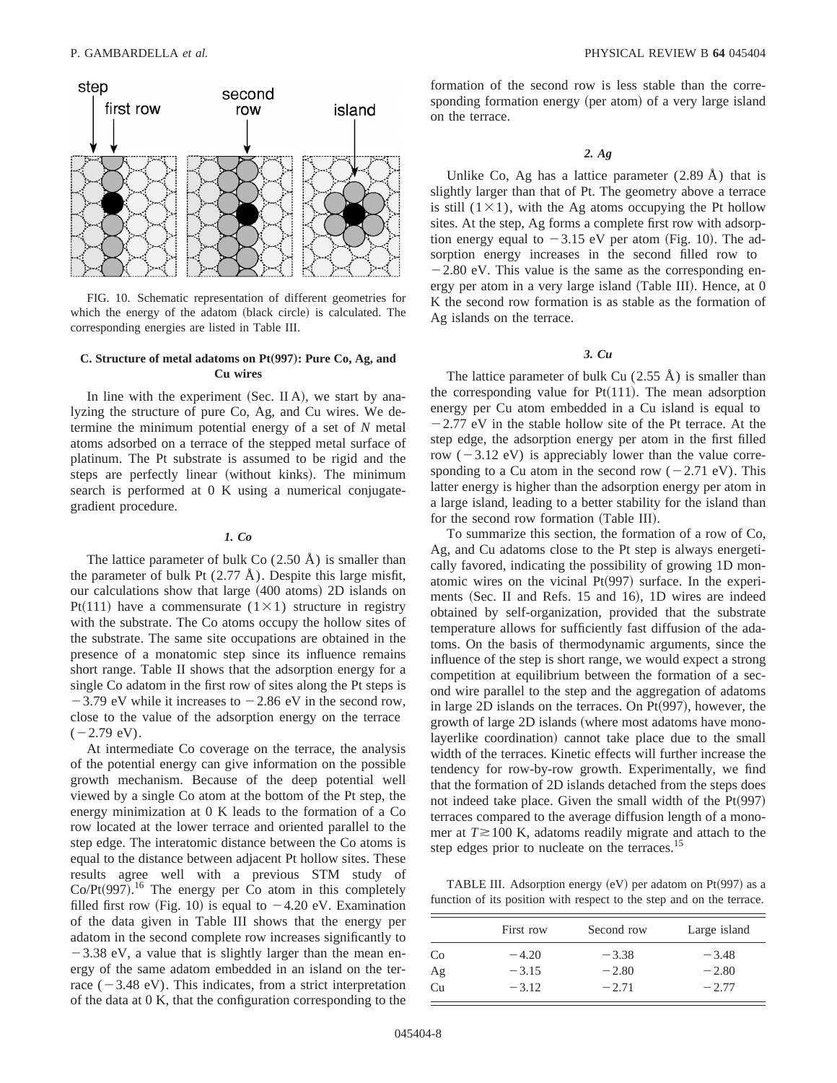

FIG. 10. Schematic representation of different geometries for which the energy of the adatom (black circle) is calculated. The corresponding energies are listed in Table III.

# **C. Structure of metal adatoms on Pt**"**997**…**: Pure Co, Ag, and Cu wires**

In line with the experiment  $(Sec.  $\Pi A)$ , we start by ana$ lyzing the structure of pure Co, Ag, and Cu wires. We determine the minimum potential energy of a set of *N* metal atoms adsorbed on a terrace of the stepped metal surface of platinum. The Pt substrate is assumed to be rigid and the steps are perfectly linear (without kinks). The minimum search is performed at 0 K using a numerical conjugategradient procedure.

## *1. Co*

The lattice parameter of bulk Co  $(2.50 \text{ Å})$  is smaller than the parameter of bulk Pt  $(2.77 \text{ Å})$ . Despite this large misfit, our calculations show that large  $(400 \text{ atoms})$  2D islands on Pt(111) have a commensurate (1×1) structure in registry with the substrate. The Co atoms occupy the hollow sites of the substrate. The same site occupations are obtained in the presence of a monatomic step since its influence remains short range. Table II shows that the adsorption energy for a single Co adatom in the first row of sites along the Pt steps is  $-3.79$  eV while it increases to  $-2.86$  eV in the second row, close to the value of the adsorption energy on the terrace  $(-2.79$  eV).

At intermediate Co coverage on the terrace, the analysis of the potential energy can give information on the possible growth mechanism. Because of the deep potential well viewed by a single Co atom at the bottom of the Pt step, the energy minimization at 0 K leads to the formation of a Co row located at the lower terrace and oriented parallel to the step edge. The interatomic distance between the Co atoms is equal to the distance between adjacent Pt hollow sites. These results agree well with a previous STM study of Co/Pt $(997)$ .<sup>16</sup> The energy per Co atom in this completely filled first row (Fig. 10) is equal to  $-4.20$  eV. Examination of the data given in Table III shows that the energy per adatom in the second complete row increases significantly to  $-3.38$  eV, a value that is slightly larger than the mean energy of the same adatom embedded in an island on the terrace  $(-3.48$  eV). This indicates, from a strict interpretation of the data at 0 K, that the configuration corresponding to the

formation of the second row is less stable than the corresponding formation energy (per atom) of a very large island on the terrace.

*2. Ag*

Unlike Co, Ag has a lattice parameter  $(2.89 \text{ Å})$  that is slightly larger than that of Pt. The geometry above a terrace is still  $(1 \times 1)$ , with the Ag atoms occupying the Pt hollow sites. At the step, Ag forms a complete first row with adsorption energy equal to  $-3.15$  eV per atom (Fig. 10). The adsorption energy increases in the second filled row to  $-2.80$  eV. This value is the same as the corresponding energy per atom in a very large island (Table III). Hence, at 0 K the second row formation is as stable as the formation of Ag islands on the terrace.

# *3. Cu*

The lattice parameter of bulk Cu  $(2.55 \text{ Å})$  is smaller than the corresponding value for  $Pt(111)$ . The mean adsorption energy per Cu atom embedded in a Cu island is equal to  $-2.77$  eV in the stable hollow site of the Pt terrace. At the step edge, the adsorption energy per atom in the first filled row  $(-3.12 \text{ eV})$  is appreciably lower than the value corresponding to a Cu atom in the second row  $(-2.71 \text{ eV})$ . This latter energy is higher than the adsorption energy per atom in a large island, leading to a better stability for the island than for the second row formation (Table III).

To summarize this section, the formation of a row of Co, Ag, and Cu adatoms close to the Pt step is always energetically favored, indicating the possibility of growing 1D monatomic wires on the vicinal  $Pt(997)$  surface. In the experiments (Sec. II and Refs. 15 and 16), 1D wires are indeed obtained by self-organization, provided that the substrate temperature allows for sufficiently fast diffusion of the adatoms. On the basis of thermodynamic arguments, since the influence of the step is short range, we would expect a strong competition at equilibrium between the formation of a second wire parallel to the step and the aggregation of adatoms in large 2D islands on the terraces. On  $Pt(997)$ , however, the growth of large 2D islands (where most adatoms have monolayerlike coordination) cannot take place due to the small width of the terraces. Kinetic effects will further increase the tendency for row-by-row growth. Experimentally, we find that the formation of 2D islands detached from the steps does not indeed take place. Given the small width of the  $Pt(997)$ terraces compared to the average diffusion length of a monomer at  $T \ge 100$  K, adatoms readily migrate and attach to the step edges prior to nucleate on the terraces.<sup>15</sup>

TABLE III. Adsorption energy  $(eV)$  per adatom on Pt $(997)$  as a function of its position with respect to the step and on the terrace.

|                | First row | Second row | Large island |
|----------------|-----------|------------|--------------|
| C <sub>0</sub> | $-4.20$   | $-3.38$    | $-3.48$      |
| Ag             | $-3.15$   | $-2.80$    | $-2.80$      |
| Cп             | $-3.12$   | $-2.71$    | $-2.77$      |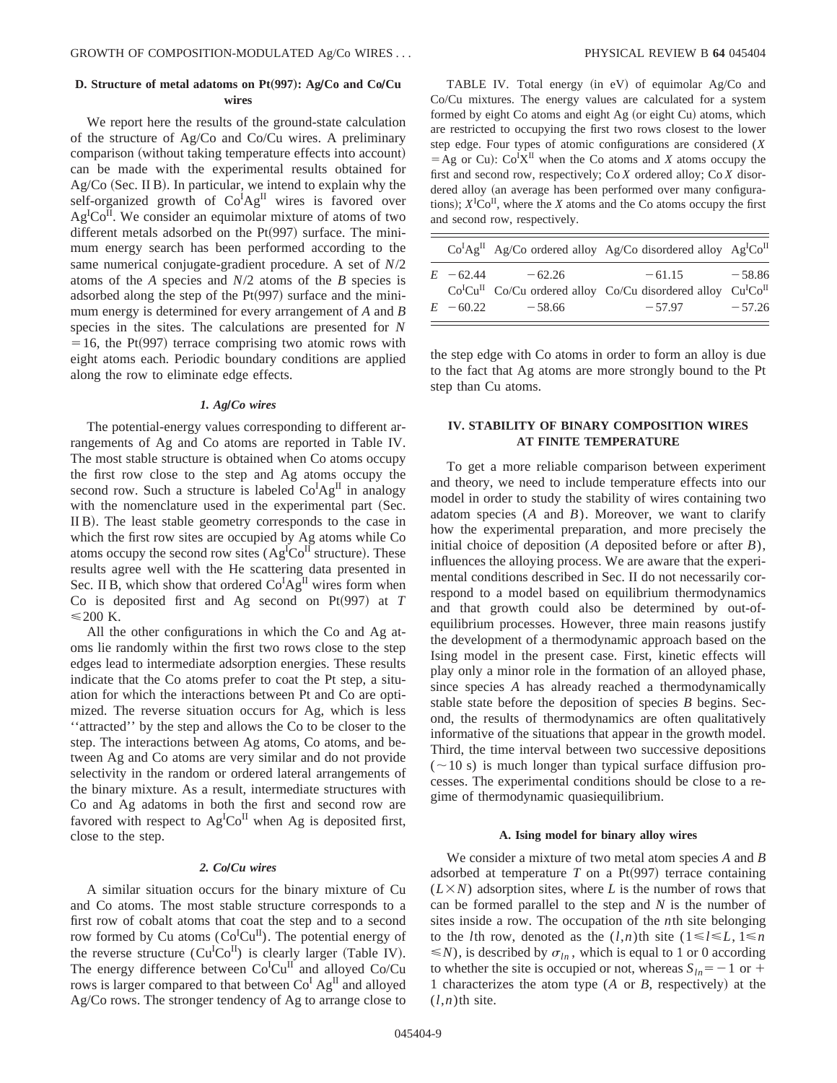# **D. Structure of metal adatoms on Pt**"**997**…**: AgÕCo and CoÕCu wires**

We report here the results of the ground-state calculation of the structure of Ag/Co and Co/Cu wires. A preliminary comparison (without taking temperature effects into account) can be made with the experimental results obtained for  $Ag/Co$  (Sec. II B). In particular, we intend to explain why the self-organized growth of Co<sup>I</sup>Ag<sup>II</sup> wires is favored over  $Ag<sup>T</sup>Co<sup>T</sup>$ . We consider an equimolar mixture of atoms of two different metals adsorbed on the  $Pt(997)$  surface. The minimum energy search has been performed according to the same numerical conjugate-gradient procedure. A set of *N*/2 atoms of the *A* species and *N*/2 atoms of the *B* species is adsorbed along the step of the  $Pt(997)$  surface and the minimum energy is determined for every arrangement of *A* and *B* species in the sites. The calculations are presented for *N*  $=16$ , the Pt(997) terrace comprising two atomic rows with eight atoms each. Periodic boundary conditions are applied along the row to eliminate edge effects.

# *1. Ag***Õ***Co wires*

The potential-energy values corresponding to different arrangements of Ag and Co atoms are reported in Table IV. The most stable structure is obtained when Co atoms occupy the first row close to the step and Ag atoms occupy the second row. Such a structure is labeled  $Co^{I}Ag^{II}$  in analogy with the nomenclature used in the experimental part (Sec. II B). The least stable geometry corresponds to the case in which the first row sites are occupied by Ag atoms while Co atoms occupy the second row sites  $(Ag<sup>I</sup>Co<sup>II</sup>$  structure). These results agree well with the He scattering data presented in Sec. II B, which show that ordered  $Co^{I}Ag^{II}$  wires form when Co is deposited first and Ag second on Pt $(997)$  at *T*  $\leq$  200 K.

All the other configurations in which the Co and Ag atoms lie randomly within the first two rows close to the step edges lead to intermediate adsorption energies. These results indicate that the Co atoms prefer to coat the Pt step, a situation for which the interactions between Pt and Co are optimized. The reverse situation occurs for Ag, which is less ''attracted'' by the step and allows the Co to be closer to the step. The interactions between Ag atoms, Co atoms, and between Ag and Co atoms are very similar and do not provide selectivity in the random or ordered lateral arrangements of the binary mixture. As a result, intermediate structures with Co and Ag adatoms in both the first and second row are favored with respect to  $Ag<sup>I</sup>Co<sup>II</sup>$  when Ag is deposited first, close to the step.

# 2. ColCu wires

A similar situation occurs for the binary mixture of Cu and Co atoms. The most stable structure corresponds to a first row of cobalt atoms that coat the step and to a second row formed by Cu atoms  $(Co^ICu^{II})$ . The potential energy of the reverse structure  $(Cu^ICo^II)$  is clearly larger (Table IV). The energy difference between  $Co<sup>ICu<sup>II</sup></sup>$  and alloyed  $Co/Cu$ rows is larger compared to that between Co<sup>I</sup> Ag<sup>II</sup> and alloyed Ag/Co rows. The stronger tendency of Ag to arrange close to

TABLE IV. Total energy (in  $eV$ ) of equimolar Ag/Co and Co/Cu mixtures. The energy values are calculated for a system formed by eight Co atoms and eight Ag (or eight Cu) atoms, which are restricted to occupying the first two rows closest to the lower step edge. Four types of atomic configurations are considered (*X*  $=$  Ag or Cu):  $Co^{I}X^{II}$  when the Co atoms and *X* atoms occupy the first and second row, respectively; Co *X* ordered alloy; Co *X* disordered alloy (an average has been performed over many configurations);  $X^{\text{I}}\text{Co}^{\text{II}}$ , where the *X* atoms and the Co atoms occupy the first and second row, respectively.

|             |                     | $Co^{I}Ag^{II}$ Ag/Co ordered alloy Ag/Co disordered alloy Ag <sup>I</sup> Co <sup>II</sup>       |          |
|-------------|---------------------|---------------------------------------------------------------------------------------------------|----------|
|             | $E = 62.44 - 62.26$ | $-61.15$<br>$CoICuII$ Co/Cu ordered alloy Co/Cu disordered alloy Cu <sup>I</sup> Co <sup>II</sup> | $-58.86$ |
| $E = 60.22$ | $-58.66$            | $-57.97$                                                                                          | $-57.26$ |

the step edge with Co atoms in order to form an alloy is due to the fact that Ag atoms are more strongly bound to the Pt step than Cu atoms.

# **IV. STABILITY OF BINARY COMPOSITION WIRES AT FINITE TEMPERATURE**

To get a more reliable comparison between experiment and theory, we need to include temperature effects into our model in order to study the stability of wires containing two adatom species (*A* and *B*). Moreover, we want to clarify how the experimental preparation, and more precisely the initial choice of deposition (*A* deposited before or after *B*), influences the alloying process. We are aware that the experimental conditions described in Sec. II do not necessarily correspond to a model based on equilibrium thermodynamics and that growth could also be determined by out-ofequilibrium processes. However, three main reasons justify the development of a thermodynamic approach based on the Ising model in the present case. First, kinetic effects will play only a minor role in the formation of an alloyed phase, since species *A* has already reached a thermodynamically stable state before the deposition of species *B* begins. Second, the results of thermodynamics are often qualitatively informative of the situations that appear in the growth model. Third, the time interval between two successive depositions  $(\sim 10 \text{ s})$  is much longer than typical surface diffusion processes. The experimental conditions should be close to a regime of thermodynamic quasiequilibrium.

#### **A. Ising model for binary alloy wires**

We consider a mixture of two metal atom species *A* and *B* adsorbed at temperature  $T$  on a Pt $(997)$  terrace containing  $(L \times N)$  adsorption sites, where *L* is the number of rows that can be formed parallel to the step and *N* is the number of sites inside a row. The occupation of the *n*th site belonging to the *l*th row, denoted as the  $(l,n)$ <sup>th</sup> site  $(1 \le l \le L, 1 \le n$  $\leq N$ , is described by  $\sigma_{ln}$ , which is equal to 1 or 0 according to whether the site is occupied or not, whereas  $S_{ln} = -1$  or + 1 characterizes the atom type (*A* or *B*, respectively) at the  $(l,n)$ th site.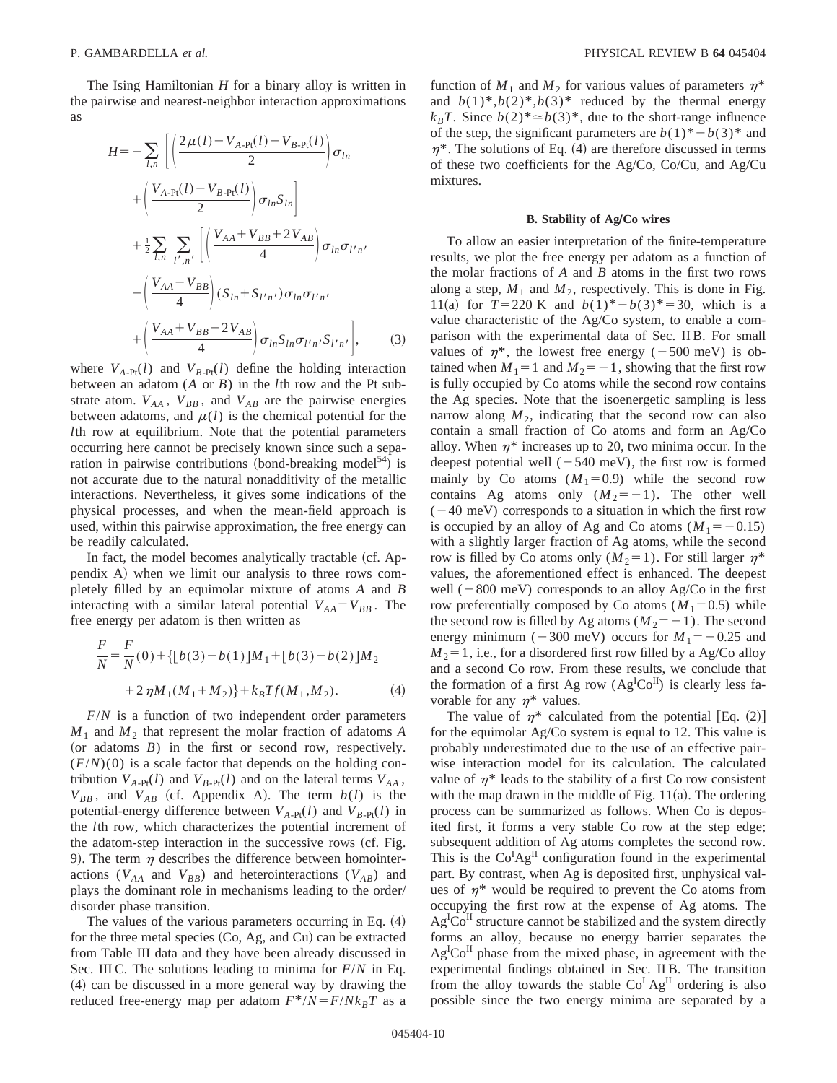The Ising Hamiltonian *H* for a binary alloy is written in the pairwise and nearest-neighbor interaction approximations as

$$
H = -\sum_{l,n} \left[ \left( \frac{2\mu(l) - V_{A\text{-Pt}}(l) - V_{B\text{-Pt}}(l)}{2} \right) \sigma_{ln} + \left( \frac{V_{A\text{-Pt}}(l) - V_{B\text{-Pt}}(l)}{2} \right) \sigma_{ln} S_{ln} \right] + \frac{1}{2} \sum_{l,n} \sum_{l',n'} \left[ \left( \frac{V_{AA} + V_{BB} + 2V_{AB}}{4} \right) \sigma_{ln} \sigma_{l'n'} - \left( \frac{V_{AA} - V_{BB}}{4} \right) (S_{ln} + S_{l'n'}) \sigma_{ln} \sigma_{l'n'} + \left( \frac{V_{AA} + V_{BB} - 2V_{AB}}{4} \right) \sigma_{ln} S_{ln} \sigma_{l'n'} S_{l'n'} \right], \tag{3}
$$

where  $V_{A-Pt}(l)$  and  $V_{B-Pt}(l)$  define the holding interaction between an adatom (*A* or *B*) in the *l*th row and the Pt substrate atom.  $V_{AA}$ ,  $V_{BB}$ , and  $V_{AB}$  are the pairwise energies between adatoms, and  $\mu(l)$  is the chemical potential for the *l*th row at equilibrium. Note that the potential parameters occurring here cannot be precisely known since such a separation in pairwise contributions (bond-breaking model<sup>54</sup>) is not accurate due to the natural nonadditivity of the metallic interactions. Nevertheless, it gives some indications of the physical processes, and when the mean-field approach is used, within this pairwise approximation, the free energy can be readily calculated.

In fact, the model becomes analytically tractable (cf. Appendix A) when we limit our analysis to three rows completely filled by an equimolar mixture of atoms *A* and *B* interacting with a similar lateral potential  $V_{AA} = V_{BB}$ . The free energy per adatom is then written as

$$
\frac{F}{N} = \frac{F}{N}(0) + \{ [b(3) - b(1)]M_1 + [b(3) - b(2)]M_2 + 2\eta M_1(M_1 + M_2) \} + k_B T f(M_1, M_2).
$$
\n(4)

*F*/*N* is a function of two independent order parameters  $M_1$  and  $M_2$  that represent the molar fraction of adatoms *A* (or adatoms  $B$ ) in the first or second row, respectively.  $(F/N)(0)$  is a scale factor that depends on the holding contribution  $V_{A-Pt}(l)$  and  $V_{B-Pt}(l)$  and on the lateral terms  $V_{AA}$ ,  $V_{BB}$ , and  $V_{AB}$  (cf. Appendix A). The term  $b(l)$  is the potential-energy difference between  $V_{A-Pt}(l)$  and  $V_{B-Pt}(l)$  in the *l*th row, which characterizes the potential increment of the adatom-step interaction in the successive rows (cf. Fig. 9). The term  $\eta$  describes the difference between homointeractions  $(V_{AA}$  and  $V_{BB}$ ) and heterointeractions  $(V_{AB})$  and plays the dominant role in mechanisms leading to the order/ disorder phase transition.

The values of the various parameters occurring in Eq.  $(4)$ for the three metal species  $(Co, Ag, and Cu)$  can be extracted from Table III data and they have been already discussed in Sec. III C. The solutions leading to minima for *F*/*N* in Eq.  $(4)$  can be discussed in a more general way by drawing the reduced free-energy map per adatom  $F^*/N = F/Nk_BT$  as a function of  $M_1$  and  $M_2$  for various values of parameters  $\eta^*$ and  $b(1)^*, b(2)^*, b(3)^*$  reduced by the thermal energy  $k_B T$ . Since  $b(2)^* \approx b(3)^*$ , due to the short-range influence of the step, the significant parameters are  $b(1)^* - b(3)^*$  and  $\eta^*$ . The solutions of Eq. (4) are therefore discussed in terms of these two coefficients for the Ag/Co, Co/Cu, and Ag/Cu mixtures.

### **B. Stability of AgÕCo wires**

To allow an easier interpretation of the finite-temperature results, we plot the free energy per adatom as a function of the molar fractions of *A* and *B* atoms in the first two rows along a step,  $M_1$  and  $M_2$ , respectively. This is done in Fig. 11(a) for  $T=220 \text{ K}$  and  $b(1)^{*}-b(3)^{*}=30$ , which is a value characteristic of the Ag/Co system, to enable a comparison with the experimental data of Sec. II B. For small values of  $\eta^*$ , the lowest free energy (-500 meV) is obtained when  $M_1 = 1$  and  $M_2 = -1$ , showing that the first row is fully occupied by Co atoms while the second row contains the Ag species. Note that the isoenergetic sampling is less narrow along  $M_2$ , indicating that the second row can also contain a small fraction of Co atoms and form an Ag/Co alloy. When  $\eta^*$  increases up to 20, two minima occur. In the deepest potential well  $(-540 \text{ meV})$ , the first row is formed mainly by Co atoms  $(M_1=0.9)$  while the second row contains Ag atoms only  $(M_2=-1)$ . The other well  $(-40 \text{ meV})$  corresponds to a situation in which the first row is occupied by an alloy of Ag and Co atoms  $(M_1 = -0.15)$ with a slightly larger fraction of Ag atoms, while the second row is filled by Co atoms only  $(M_2=1)$ . For still larger  $\eta^*$ values, the aforementioned effect is enhanced. The deepest well  $(-800 \text{ meV})$  corresponds to an alloy Ag/Co in the first row preferentially composed by Co atoms  $(M_1=0.5)$  while the second row is filled by Ag atoms  $(M_2=-1)$ . The second energy minimum ( $-300$  meV) occurs for  $M_1 = -0.25$  and  $M_2$ =1, i.e., for a disordered first row filled by a Ag/Co alloy and a second Co row. From these results, we conclude that the formation of a first Ag row  $(Ag^ICo^{II})$  is clearly less favorable for any  $\eta^*$  values.

The value of  $\eta^*$  calculated from the potential [Eq. (2)] for the equimolar Ag/Co system is equal to 12. This value is probably underestimated due to the use of an effective pairwise interaction model for its calculation. The calculated value of  $\eta^*$  leads to the stability of a first Co row consistent with the map drawn in the middle of Fig.  $11(a)$ . The ordering process can be summarized as follows. When Co is deposited first, it forms a very stable Co row at the step edge; subsequent addition of Ag atoms completes the second row. This is the  $Co^{I}Ag^{II}$  configuration found in the experimental part. By contrast, when Ag is deposited first, unphysical values of  $\eta^*$  would be required to prevent the Co atoms from occupying the first row at the expense of Ag atoms. The  $Ag<sup>I</sup>Co<sup>II</sup>$  structure cannot be stabilized and the system directly forms an alloy, because no energy barrier separates the Ag<sup>I</sup>Co<sup>II</sup> phase from the mixed phase, in agreement with the experimental findings obtained in Sec. II B. The transition from the alloy towards the stable  $Co<sup>I</sup> Ag<sup>II</sup>$  ordering is also possible since the two energy minima are separated by a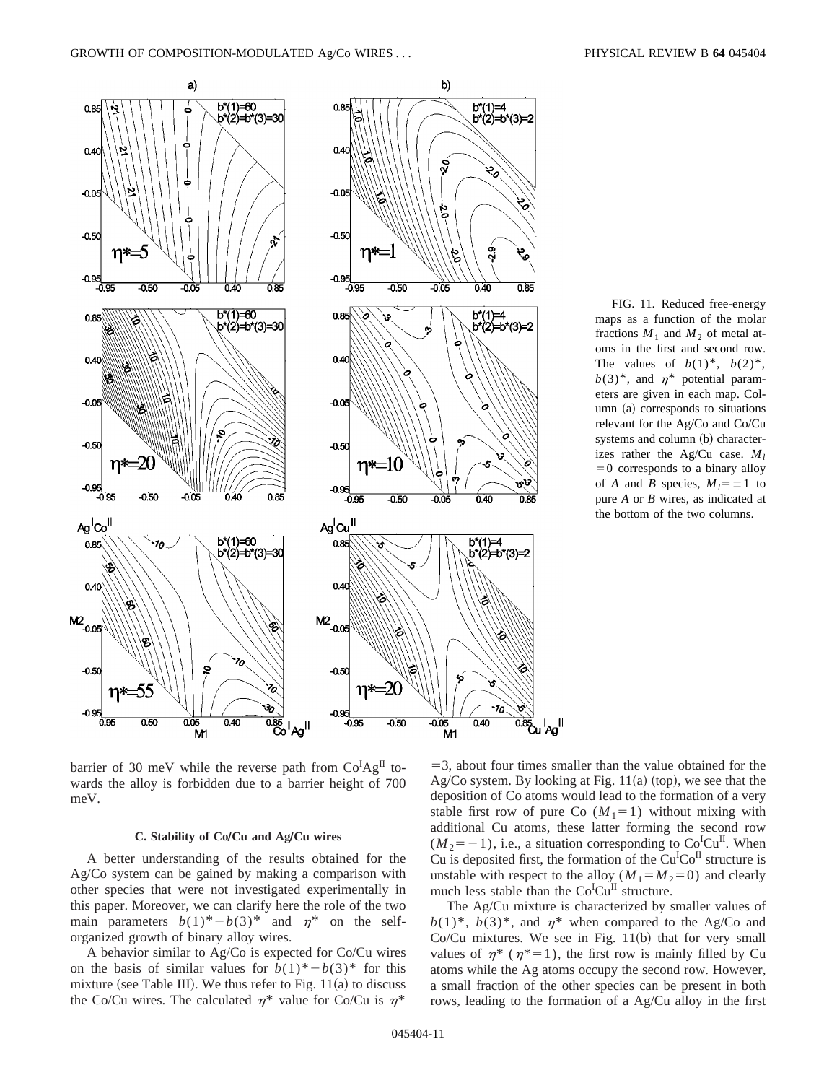

FIG. 11. Reduced free-energy maps as a function of the molar fractions  $M_1$  and  $M_2$  of metal atoms in the first and second row. The values of  $b(1)^*, b(2)^*,$  $b(3)^*$ , and  $n^*$  potential parameters are given in each map. Column  $(a)$  corresponds to situations relevant for the Ag/Co and Co/Cu systems and column (b) characterizes rather the Ag/Cu case.  $M_l$  $=0$  corresponds to a binary alloy of *A* and *B* species,  $M_1 = \pm 1$  to pure *A* or *B* wires, as indicated at the bottom of the two columns.

barrier of 30 meV while the reverse path from  $Co^{I}Ag^{II}$  towards the alloy is forbidden due to a barrier height of 700 meV.

### **C. Stability of CoÕCu and AgÕCu wires**

A better understanding of the results obtained for the Ag/Co system can be gained by making a comparison with other species that were not investigated experimentally in this paper. Moreover, we can clarify here the role of the two main parameters  $b(1)^* - b(3)^*$  and  $\eta^*$  on the selforganized growth of binary alloy wires.

A behavior similar to Ag/Co is expected for Co/Cu wires on the basis of similar values for  $b(1)^* - b(3)^*$  for this mixture (see Table III). We thus refer to Fig.  $11(a)$  to discuss the Co/Cu wires. The calculated  $\eta^*$  value for Co/Cu is  $\eta^*$ 

 $=$ 3, about four times smaller than the value obtained for the Ag/Co system. By looking at Fig.  $11(a)$  (top), we see that the deposition of Co atoms would lead to the formation of a very stable first row of pure Co  $(M_1=1)$  without mixing with additional Cu atoms, these latter forming the second row  $(M_2 = -1)$ , i.e., a situation corresponding to Co<sup>I</sup>Cu<sup>II</sup>. When Cu is deposited first, the formation of the  $Cu<sup>I</sup>Co<sup>II</sup>$  structure is unstable with respect to the alloy  $(M_1 = M_2 = 0)$  and clearly much less stable than the Co<sup>I</sup>Cu<sup>II</sup> structure.

The Ag/Cu mixture is characterized by smaller values of  $b(1)^*, b(3)^*,$  and  $\eta^*$  when compared to the Ag/Co and Co/Cu mixtures. We see in Fig.  $11(b)$  that for very small values of  $\eta^*$  ( $\eta^*=1$ ), the first row is mainly filled by Cu atoms while the Ag atoms occupy the second row. However, a small fraction of the other species can be present in both rows, leading to the formation of a Ag/Cu alloy in the first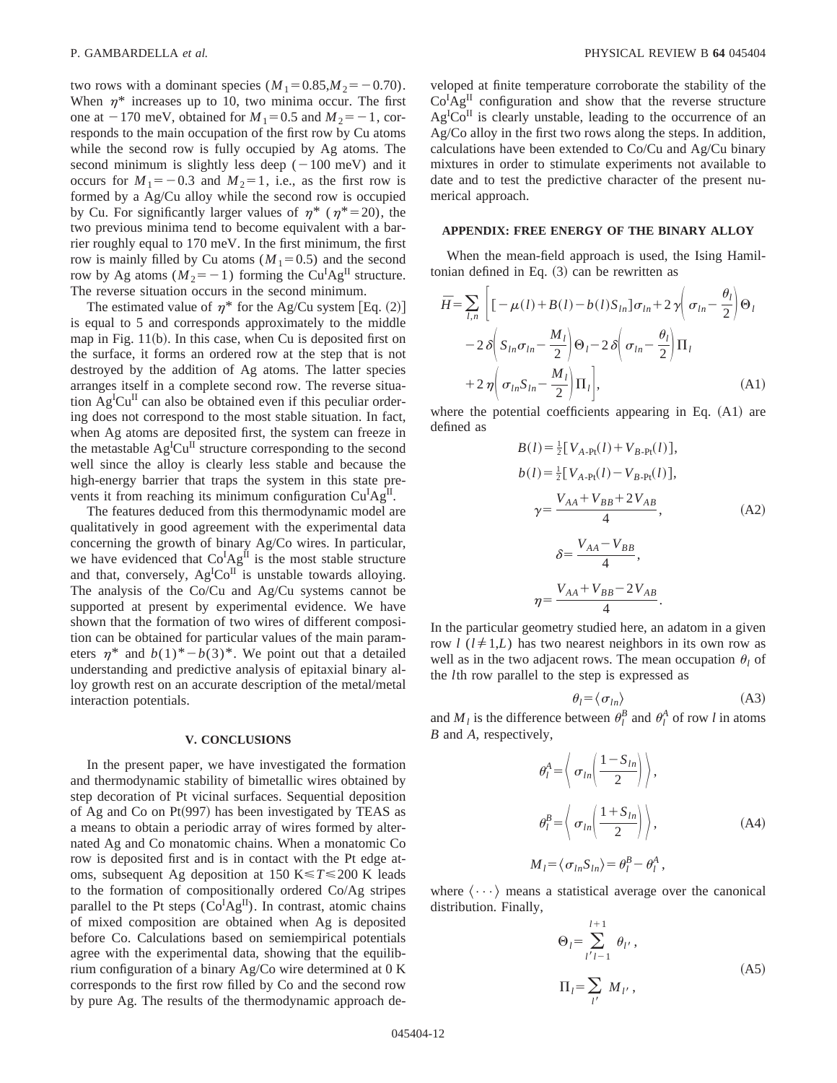two rows with a dominant species  $(M_1=0.85, M_2=0.70)$ . When  $\eta^*$  increases up to 10, two minima occur. The first one at  $-170$  meV, obtained for  $M_1=0.5$  and  $M_2=-1$ , corresponds to the main occupation of the first row by Cu atoms while the second row is fully occupied by Ag atoms. The second minimum is slightly less deep  $(-100 \text{ meV})$  and it occurs for  $M_1 = -0.3$  and  $M_2 = 1$ , i.e., as the first row is formed by a Ag/Cu alloy while the second row is occupied by Cu. For significantly larger values of  $\eta^*$  ( $\eta^*=20$ ), the two previous minima tend to become equivalent with a barrier roughly equal to 170 meV. In the first minimum, the first row is mainly filled by Cu atoms  $(M_1=0.5)$  and the second row by Ag atoms  $(M_2 = -1)$  forming the Cu<sup>I</sup>Ag<sup>II</sup> structure. The reverse situation occurs in the second minimum.

The estimated value of  $\eta^*$  for the Ag/Cu system [Eq. (2)] is equal to 5 and corresponds approximately to the middle map in Fig.  $11(b)$ . In this case, when Cu is deposited first on the surface, it forms an ordered row at the step that is not destroyed by the addition of Ag atoms. The latter species arranges itself in a complete second row. The reverse situation  $Ag^{I}Cu^{II}$  can also be obtained even if this peculiar ordering does not correspond to the most stable situation. In fact, when Ag atoms are deposited first, the system can freeze in the metastable  $Ag^ICu^{II}$  structure corresponding to the second well since the alloy is clearly less stable and because the high-energy barrier that traps the system in this state prevents it from reaching its minimum configuration Cu<sup>I</sup>Ag<sup>II</sup>.

The features deduced from this thermodynamic model are qualitatively in good agreement with the experimental data concerning the growth of binary Ag/Co wires. In particular, we have evidenced that  $Co^{I}Ag^{II}$  is the most stable structure and that, conversely,  $Ag^{I}Co^{II}$  is unstable towards alloying. The analysis of the Co/Cu and Ag/Cu systems cannot be supported at present by experimental evidence. We have shown that the formation of two wires of different composition can be obtained for particular values of the main parameters  $\eta^*$  and  $b(1)^*$ <sup>*b*</sup>(3)<sup>\*</sup>. We point out that a detailed understanding and predictive analysis of epitaxial binary alloy growth rest on an accurate description of the metal/metal interaction potentials.

# **V. CONCLUSIONS**

In the present paper, we have investigated the formation and thermodynamic stability of bimetallic wires obtained by step decoration of Pt vicinal surfaces. Sequential deposition of Ag and Co on Pt $(997)$  has been investigated by TEAS as a means to obtain a periodic array of wires formed by alternated Ag and Co monatomic chains. When a monatomic Co row is deposited first and is in contact with the Pt edge atoms, subsequent Ag deposition at 150 K $\leq T \leq 200$  K leads to the formation of compositionally ordered Co/Ag stripes parallel to the Pt steps  $(Co^{I}Ag^{II})$ . In contrast, atomic chains of mixed composition are obtained when Ag is deposited before Co. Calculations based on semiempirical potentials agree with the experimental data, showing that the equilibrium configuration of a binary Ag/Co wire determined at 0 K corresponds to the first row filled by Co and the second row by pure Ag. The results of the thermodynamic approach developed at finite temperature corroborate the stability of the  $Co^{I}Ag^{II}$  configuration and show that the reverse structure  $Ag<sup>I</sup>Co<sup>II</sup>$  is clearly unstable, leading to the occurrence of an Ag/Co alloy in the first two rows along the steps. In addition, calculations have been extended to Co/Cu and Ag/Cu binary mixtures in order to stimulate experiments not available to date and to test the predictive character of the present numerical approach.

### **APPENDIX: FREE ENERGY OF THE BINARY ALLOY**

When the mean-field approach is used, the Ising Hamiltonian defined in Eq.  $(3)$  can be rewritten as

$$
\bar{H} = \sum_{l,n} \left[ \left[ -\mu(l) + B(l) - b(l)S_{ln} \right] \sigma_{ln} + 2\gamma \left( \sigma_{ln} - \frac{\theta_l}{2} \right) \Theta_l - 2\delta \left( S_{ln} \sigma_{ln} - \frac{M_l}{2} \right) \Theta_l - 2\delta \left( \sigma_{ln} - \frac{\theta_l}{2} \right) \Pi_l + 2\gamma \left( \sigma_{ln} S_{ln} - \frac{M_l}{2} \right) \Pi_l \right],
$$
\n(A1)

where the potential coefficients appearing in Eq.  $(A1)$  are defined as

$$
B(l) = \frac{1}{2} [V_{A\text{-Pt}}(l) + V_{B\text{-Pt}}(l)],
$$
  
\n
$$
b(l) = \frac{1}{2} [V_{A\text{-Pt}}(l) - V_{B\text{-Pt}}(l)],
$$
  
\n
$$
\gamma = \frac{V_{AA} + V_{BB} + 2V_{AB}}{4},
$$
  
\n
$$
\delta = \frac{V_{AA} - V_{BB}}{4},
$$
  
\n
$$
\eta = \frac{V_{AA} + V_{BB} - 2V_{AB}}{4}.
$$
 (A2)

In the particular geometry studied here, an adatom in a given row  $l$  ( $l \neq 1, L$ ) has two nearest neighbors in its own row as well as in the two adjacent rows. The mean occupation  $\theta_l$  of the *l*th row parallel to the step is expressed as

$$
\theta_l = \langle \sigma_{ln} \rangle \tag{A3}
$$

and  $M_l$  is the difference between  $\theta_l^B$  and  $\theta_l^A$  of row *l* in atoms *B* and *A*, respectively,

$$
\theta_l^A = \left\langle \sigma_{ln} \left( \frac{1 - S_{ln}}{2} \right) \right\rangle,
$$
  
\n
$$
\theta_l^B = \left\langle \sigma_{ln} \left( \frac{1 + S_{ln}}{2} \right) \right\rangle,
$$
  
\n
$$
M_l = \left\langle \sigma_{ln} S_{ln} \right\rangle = \theta_l^B - \theta_l^A,
$$
\n(A4)

where  $\langle \cdots \rangle$  means a statistical average over the canonical distribution. Finally,

$$
\Theta_{l} = \sum_{l'l=1}^{l+1} \theta_{l'},
$$
  
\n
$$
\Pi_{l} = \sum_{l'} M_{l'},
$$
\n(A5)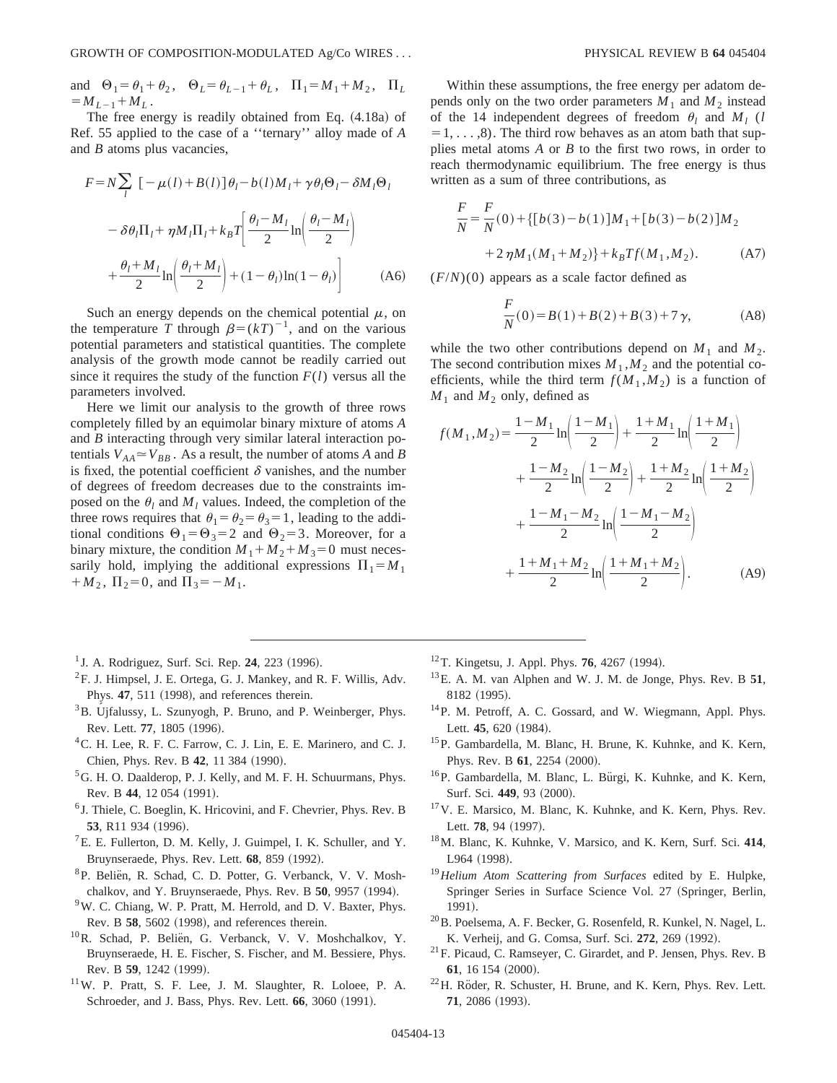and  $\Theta_1 = \theta_1 + \theta_2$ ,  $\Theta_L = \theta_{L-1} + \theta_L$ ,  $\Pi_1 = M_1 + M_2$ ,  $\Pi_L$  $=M_{L-1}+M_{L}$ .

The free energy is readily obtained from Eq. (4.18a) of Ref. 55 applied to the case of a ''ternary'' alloy made of *A* and *B* atoms plus vacancies,

$$
F = N \sum_{l} \left[ -\mu(l) + B(l) \right] \theta_{l} - b(l) M_{l} + \gamma \theta_{l} \Theta_{l} - \delta M_{l} \Theta_{l}
$$

$$
- \delta \theta_{l} \Pi_{l} + \eta M_{l} \Pi_{l} + k_{B} T \left[ \frac{\theta_{l} - M_{l}}{2} \ln \left( \frac{\theta_{l} - M_{l}}{2} \right) + \frac{\theta_{l} + M_{l}}{2} \ln \left( \frac{\theta_{l} + M_{l}}{2} \right) + (1 - \theta_{l}) \ln(1 - \theta_{l}) \right]
$$
(A6)

Such an energy depends on the chemical potential  $\mu$ , on the temperature *T* through  $\beta = (kT)^{-1}$ , and on the various potential parameters and statistical quantities. The complete analysis of the growth mode cannot be readily carried out since it requires the study of the function  $F(l)$  versus all the parameters involved.

Here we limit our analysis to the growth of three rows completely filled by an equimolar binary mixture of atoms *A* and *B* interacting through very similar lateral interaction potentials  $V_{AA} \simeq V_{BB}$ . As a result, the number of atoms *A* and *B* is fixed, the potential coefficient  $\delta$  vanishes, and the number of degrees of freedom decreases due to the constraints imposed on the  $\theta_l$  and  $M_l$  values. Indeed, the completion of the three rows requires that  $\theta_1 = \theta_2 = \theta_3 = 1$ , leading to the additional conditions  $\Theta_1 = \Theta_3 = 2$  and  $\Theta_2 = 3$ . Moreover, for a binary mixture, the condition  $M_1 + M_2 + M_3 = 0$  must necessarily hold, implying the additional expressions  $\Pi_1 = M_1$  $+M_2$ ,  $\Pi_2=0$ , and  $\Pi_3=-M_1$ .

- <sup>1</sup> J. A. Rodriguez, Surf. Sci. Rep. **24**, 223 (1996).
- ${}^{2}$ F. J. Himpsel, J. E. Ortega, G. J. Mankey, and R. F. Willis, Adv. Phys. 47, 511 (1998), and references therein.
- $3B.$  Ujfalussy, L. Szunyogh, P. Bruno, and P. Weinberger, Phys. Rev. Lett. 77, 1805 (1996).
- 4C. H. Lee, R. F. C. Farrow, C. J. Lin, E. E. Marinero, and C. J. Chien, Phys. Rev. B 42, 11 384 (1990).
- <sup>5</sup>G. H. O. Daalderop, P. J. Kelly, and M. F. H. Schuurmans, Phys. Rev. B 44, 12 054 (1991).
- <sup>6</sup> J. Thiele, C. Boeglin, K. Hricovini, and F. Chevrier, Phys. Rev. B 53, R11 934 (1996).
- ${}^{7}E$ . E. Fullerton, D. M. Kelly, J. Guimpel, I. K. Schuller, and Y. Bruynseraede, Phys. Rev. Lett. 68, 859 (1992).
- <sup>8</sup>P. Beliën, R. Schad, C. D. Potter, G. Verbanck, V. V. Moshchalkov, and Y. Bruynseraede, Phys. Rev. B **50**, 9957 (1994).
- 9W. C. Chiang, W. P. Pratt, M. Herrold, and D. V. Baxter, Phys. Rev. B 58, 5602 (1998), and references therein.
- <sup>10</sup>R. Schad, P. Beliën, G. Verbanck, V. V. Moshchalkov, Y. Bruynseraede, H. E. Fischer, S. Fischer, and M. Bessiere, Phys. Rev. B 59, 1242 (1999).
- 11W. P. Pratt, S. F. Lee, J. M. Slaughter, R. Loloee, P. A. Schroeder, and J. Bass, Phys. Rev. Lett. **66**, 3060 (1991).

Within these assumptions, the free energy per adatom depends only on the two order parameters  $M_1$  and  $M_2$  instead of the 14 independent degrees of freedom  $\theta_l$  and  $M_l$  (*l*  $=1, \ldots, 8$ . The third row behaves as an atom bath that supplies metal atoms *A* or *B* to the first two rows, in order to reach thermodynamic equilibrium. The free energy is thus written as a sum of three contributions, as

$$
\frac{F}{N} = \frac{F}{N}(0) + \{ [b(3) - b(1)]M_1 + [b(3) - b(2)]M_2 + 2\eta M_1(M_1 + M_2) \} + k_B T f(M_1, M_2).
$$
\n(A7)

 $(F/N)(0)$  appears as a scale factor defined as

$$
\frac{F}{N}(0) = B(1) + B(2) + B(3) + 7\gamma,
$$
 (A8)

while the two other contributions depend on  $M_1$  and  $M_2$ . The second contribution mixes  $M_1$ ,  $M_2$  and the potential coefficients, while the third term  $f(M_1, M_2)$  is a function of  $M_1$  and  $M_2$  only, defined as

$$
f(M_1, M_2) = \frac{1 - M_1}{2} \ln\left(\frac{1 - M_1}{2}\right) + \frac{1 + M_1}{2} \ln\left(\frac{1 + M_1}{2}\right)
$$
  
+ 
$$
\frac{1 - M_2}{2} \ln\left(\frac{1 - M_2}{2}\right) + \frac{1 + M_2}{2} \ln\left(\frac{1 + M_2}{2}\right)
$$
  
+ 
$$
\frac{1 - M_1 - M_2}{2} \ln\left(\frac{1 - M_1 - M_2}{2}\right)
$$
  
+ 
$$
\frac{1 + M_1 + M_2}{2} \ln\left(\frac{1 + M_1 + M_2}{2}\right).
$$
 (A9)

- <sup>12</sup> T. Kingetsu, J. Appl. Phys. **76**, 4267 (1994).
- 13E. A. M. van Alphen and W. J. M. de Jonge, Phys. Rev. B **51**, 8182 (1995).
- 14P. M. Petroff, A. C. Gossard, and W. Wiegmann, Appl. Phys. Lett. 45, 620 (1984).
- 15P. Gambardella, M. Blanc, H. Brune, K. Kuhnke, and K. Kern, Phys. Rev. B 61, 2254 (2000).
- <sup>16</sup>P. Gambardella, M. Blanc, L. Bürgi, K. Kuhnke, and K. Kern, Surf. Sci. 449, 93 (2000).
- 17V. E. Marsico, M. Blanc, K. Kuhnke, and K. Kern, Phys. Rev. Lett. 78, 94 (1997).
- 18M. Blanc, K. Kuhnke, V. Marsico, and K. Kern, Surf. Sci. **414**, L964 (1998).
- <sup>19</sup>*Helium Atom Scattering from Surfaces* edited by E. Hulpke, Springer Series in Surface Science Vol. 27 (Springer, Berlin, 1991).
- <sup>20</sup>B. Poelsema, A. F. Becker, G. Rosenfeld, R. Kunkel, N. Nagel, L. K. Verheij, and G. Comsa, Surf. Sci. 272, 269 (1992).
- 21F. Picaud, C. Ramseyer, C. Girardet, and P. Jensen, Phys. Rev. B 61, 16 154 (2000).
- $22$ H. Röder, R. Schuster, H. Brune, and K. Kern, Phys. Rev. Lett. 71, 2086 (1993).